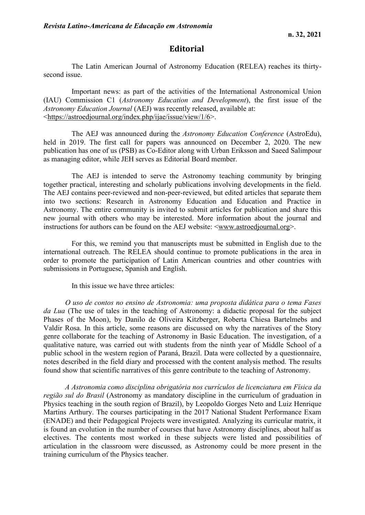## **Editorial**

The Latin American Journal of Astronomy Education (RELEA) reaches its thirtysecond issue.

Important news: as part of the activities of the International Astronomical Union (IAU) Commission C1 (*Astronomy Education and Development*), the first issue of the *Astronomy Education Journal* (AEJ) was recently released, available at: [<https://astroedjournal.org/index.php/ijae/issue/view/1/6>](https://astroedjournal.org/index.php/ijae/issue/view/1/6).

The AEJ was announced during the *Astronomy Education Conference* (AstroEdu), held in 2019. The first call for papers was announced on December 2, 2020. The new publication has one of us (PSB) as Co-Editor along with Urban Eriksson and Saeed Salimpour as managing editor, while JEH serves as Editorial Board member.

The AEJ is intended to serve the Astronomy teaching community by bringing together practical, interesting and scholarly publications involving developments in the field. The AEJ contains peer-reviewed and non-peer-reviewed, but edited articles that separate them into two sections: Research in Astronomy Education and Education and Practice in Astronomy. The entire community is invited to submit articles for publication and share this new journal with others who may be interested. More information about the journal and instructions for authors can be found on the AEJ website: [<www.astroedjournal.org>](http://www.astroedjournal.org/).

For this, we remind you that manuscripts must be submitted in English due to the international outreach. The RELEA should continue to promote publications in the area in order to promote the participation of Latin American countries and other countries with submissions in Portuguese, Spanish and English.

In this issue we have three articles:

*O uso de contos no ensino de Astronomia: uma proposta didática para o tema Fases da Lua* (The use of tales in the teaching of Astronomy: a didactic proposal for the subject Phases of the Moon), by Danilo de Oliveira Kitzberger, Roberta Chiesa Bartelmebs and Valdir Rosa. In this article, some reasons are discussed on why the narratives of the Story genre collaborate for the teaching of Astronomy in Basic Education. The investigation, of a qualitative nature, was carried out with students from the ninth year of Middle School of a public school in the western region of Paraná, Brazil. Data were collected by a questionnaire, notes described in the field diary and processed with the content analysis method. The results found show that scientific narratives of this genre contribute to the teaching of Astronomy.

*A Astronomia como disciplina obrigatória nos currículos de licenciatura em Física da região sul do Brasil* (Astronomy as mandatory discipline in the curriculum of graduation in Physics teaching in the south region of Brazil), by Leopoldo Gorges Neto and Luiz Henrique Martins Arthury. The courses participating in the 2017 National Student Performance Exam (ENADE) and their Pedagogical Projects were investigated. Analyzing its curricular matrix, it is found an evolution in the number of courses that have Astronomy disciplines, about half as electives. The contents most worked in these subjects were listed and possibilities of articulation in the classroom were discussed, as Astronomy could be more present in the training curriculum of the Physics teacher.